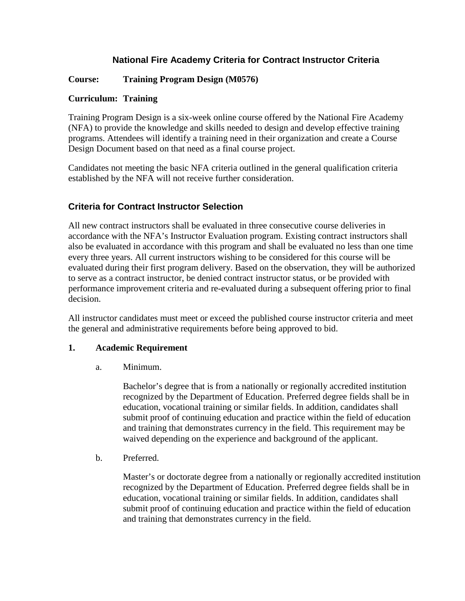# **National Fire Academy Criteria for Contract Instructor Criteria**

## **Course: Training Program Design (M0576)**

### **Curriculum: Training**

Training Program Design is a six-week online course offered by the National Fire Academy (NFA) to provide the knowledge and skills needed to design and develop effective training programs. Attendees will identify a training need in their organization and create a Course Design Document based on that need as a final course project.

Candidates not meeting the basic NFA criteria outlined in the general qualification criteria established by the NFA will not receive further consideration.

# **Criteria for Contract Instructor Selection**

All new contract instructors shall be evaluated in three consecutive course deliveries in accordance with the NFA's Instructor Evaluation program. Existing contract instructors shall also be evaluated in accordance with this program and shall be evaluated no less than one time every three years. All current instructors wishing to be considered for this course will be evaluated during their first program delivery. Based on the observation, they will be authorized to serve as a contract instructor, be denied contract instructor status, or be provided with performance improvement criteria and re-evaluated during a subsequent offering prior to final decision.

All instructor candidates must meet or exceed the published course instructor criteria and meet the general and administrative requirements before being approved to bid.

### **1. Academic Requirement**

a. Minimum.

Bachelor's degree that is from a nationally or regionally accredited institution recognized by the Department of Education. Preferred degree fields shall be in education, vocational training or similar fields. In addition, candidates shall submit proof of continuing education and practice within the field of education and training that demonstrates currency in the field. This requirement may be waived depending on the experience and background of the applicant.

b. Preferred.

Master's or doctorate degree from a nationally or regionally accredited institution recognized by the Department of Education. Preferred degree fields shall be in education, vocational training or similar fields. In addition, candidates shall submit proof of continuing education and practice within the field of education and training that demonstrates currency in the field.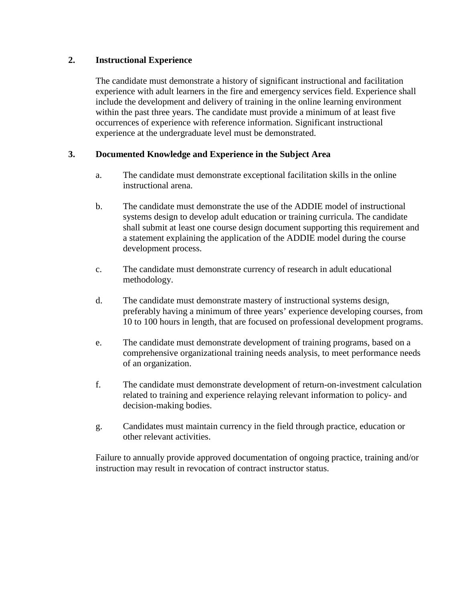#### **2. Instructional Experience**

The candidate must demonstrate a history of significant instructional and facilitation experience with adult learners in the fire and emergency services field. Experience shall include the development and delivery of training in the online learning environment within the past three years. The candidate must provide a minimum of at least five occurrences of experience with reference information. Significant instructional experience at the undergraduate level must be demonstrated.

#### **3. Documented Knowledge and Experience in the Subject Area**

- a. The candidate must demonstrate exceptional facilitation skills in the online instructional arena.
- b. The candidate must demonstrate the use of the ADDIE model of instructional systems design to develop adult education or training curricula. The candidate shall submit at least one course design document supporting this requirement and a statement explaining the application of the ADDIE model during the course development process.
- c. The candidate must demonstrate currency of research in adult educational methodology.
- d. The candidate must demonstrate mastery of instructional systems design, preferably having a minimum of three years' experience developing courses, from 10 to 100 hours in length, that are focused on professional development programs.
- e. The candidate must demonstrate development of training programs, based on a comprehensive organizational training needs analysis, to meet performance needs of an organization.
- f. The candidate must demonstrate development of return-on-investment calculation related to training and experience relaying relevant information to policy- and decision-making bodies.
- g. Candidates must maintain currency in the field through practice, education or other relevant activities.

Failure to annually provide approved documentation of ongoing practice, training and/or instruction may result in revocation of contract instructor status.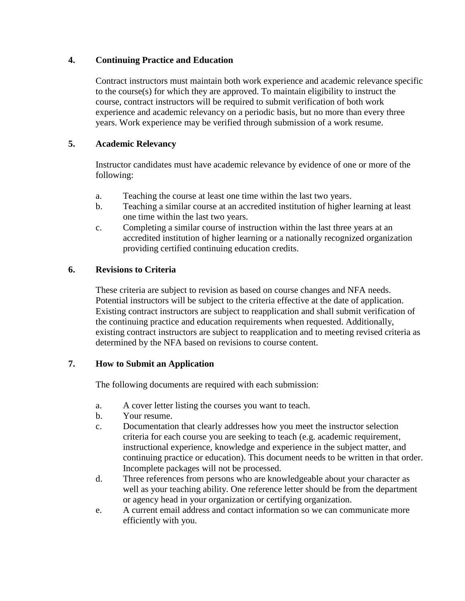### **4. Continuing Practice and Education**

Contract instructors must maintain both work experience and academic relevance specific to the course(s) for which they are approved. To maintain eligibility to instruct the course, contract instructors will be required to submit verification of both work experience and academic relevancy on a periodic basis, but no more than every three years. Work experience may be verified through submission of a work resume.

### **5. Academic Relevancy**

Instructor candidates must have academic relevance by evidence of one or more of the following:

- a. Teaching the course at least one time within the last two years.
- b. Teaching a similar course at an accredited institution of higher learning at least one time within the last two years.
- c. Completing a similar course of instruction within the last three years at an accredited institution of higher learning or a nationally recognized organization providing certified continuing education credits.

#### **6. Revisions to Criteria**

These criteria are subject to revision as based on course changes and NFA needs. Potential instructors will be subject to the criteria effective at the date of application. Existing contract instructors are subject to reapplication and shall submit verification of the continuing practice and education requirements when requested. Additionally, existing contract instructors are subject to reapplication and to meeting revised criteria as determined by the NFA based on revisions to course content.

#### **7. How to Submit an Application**

The following documents are required with each submission:

- a. A cover letter listing the courses you want to teach.
- b. Your resume.
- c. Documentation that clearly addresses how you meet the instructor selection criteria for each course you are seeking to teach (e.g. academic requirement, instructional experience, knowledge and experience in the subject matter, and continuing practice or education). This document needs to be written in that order. Incomplete packages will not be processed.
- d. Three references from persons who are knowledgeable about your character as well as your teaching ability. One reference letter should be from the department or agency head in your organization or certifying organization.
- e. A current email address and contact information so we can communicate more efficiently with you.